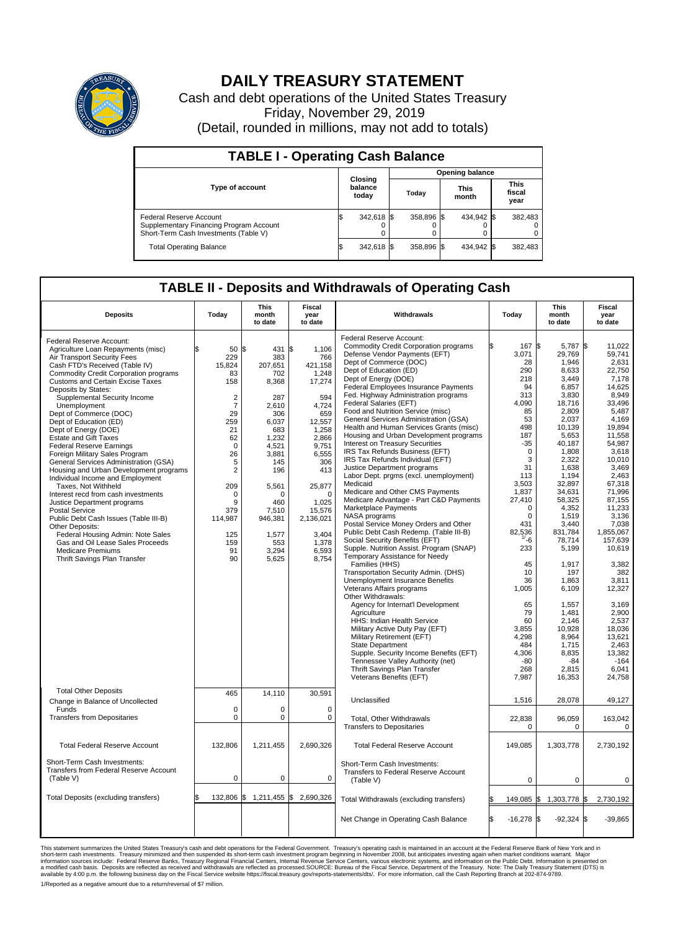

## **DAILY TREASURY STATEMENT**

Cash and debt operations of the United States Treasury Friday, November 29, 2019 (Detail, rounded in millions, may not add to totals)

| <b>TABLE I - Operating Cash Balance</b>                                                                     |  |                             |  |                        |  |                      |  |                               |  |  |  |
|-------------------------------------------------------------------------------------------------------------|--|-----------------------------|--|------------------------|--|----------------------|--|-------------------------------|--|--|--|
|                                                                                                             |  | Closing<br>balance<br>today |  | <b>Opening balance</b> |  |                      |  |                               |  |  |  |
| <b>Type of account</b>                                                                                      |  |                             |  | Today                  |  | <b>This</b><br>month |  | <b>This</b><br>fiscal<br>year |  |  |  |
| Federal Reserve Account<br>Supplementary Financing Program Account<br>Short-Term Cash Investments (Table V) |  | 342,618 \$                  |  | 358.896 \$             |  | 434.942 \$           |  | 382,483                       |  |  |  |
| <b>Total Operating Balance</b>                                                                              |  | 342,618 \$                  |  | 358,896 \$             |  | 434,942 \$           |  | 382,483                       |  |  |  |

## **TABLE II - Deposits and Withdrawals of Operating Cash**

| <b>Deposits</b>                                  | Today                          | This<br>month<br>to date | Fiscal<br>year<br>to date | Withdrawals                                                                | Today              | <b>This</b><br>month<br>to date | Fiscal<br>year<br>to date |  |
|--------------------------------------------------|--------------------------------|--------------------------|---------------------------|----------------------------------------------------------------------------|--------------------|---------------------------------|---------------------------|--|
| Federal Reserve Account:                         |                                |                          |                           | Federal Reserve Account:<br><b>Commodity Credit Corporation programs</b>   | 167                | l\$                             | 11.022                    |  |
| Agriculture Loan Repayments (misc)               | \$<br>$50 \text{ }   \text{S}$ | 431                      | 1\$<br>1,106              |                                                                            |                    | 5,787 \$                        |                           |  |
| Air Transport Security Fees                      | 229                            | 383                      | 766                       | Defense Vendor Payments (EFT)<br>Dept of Commerce (DOC)                    | 3,071<br>28        | 29,769<br>1,946                 | 59.741<br>2.631           |  |
| Cash FTD's Received (Table IV)                   | 15,824                         | 207.651                  | 421,158                   | Dept of Education (ED)                                                     | 290                | 8,633                           | 22,750                    |  |
| <b>Commodity Credit Corporation programs</b>     | 83                             | 702                      | 1,248                     | Dept of Energy (DOE)                                                       | 218                | 3.449                           | 7.178                     |  |
| <b>Customs and Certain Excise Taxes</b>          | 158                            | 8,368                    | 17,274                    | Federal Employees Insurance Payments                                       | 94                 | 6,857                           | 14,625                    |  |
| Deposits by States:                              |                                |                          |                           | Fed. Highway Administration programs                                       | 313                | 3,830                           | 8.949                     |  |
| Supplemental Security Income                     | $\overline{2}$                 | 287                      | 594                       | Federal Salaries (EFT)                                                     | 4,090              | 18,716                          | 33,496                    |  |
| Unemployment                                     | $\overline{7}$<br>29           | 2,610                    | 4,724<br>659              | Food and Nutrition Service (misc)                                          | 85                 | 2,809                           | 5,487                     |  |
| Dept of Commerce (DOC)<br>Dept of Education (ED) | 259                            | 306<br>6,037             | 12,557                    | General Services Administration (GSA)                                      | 53                 | 2,037                           | 4,169                     |  |
| Dept of Energy (DOE)                             | 21                             | 683                      | 1,258                     | Health and Human Services Grants (misc)                                    | 498                | 10,139                          | 19.894                    |  |
| <b>Estate and Gift Taxes</b>                     | 62                             | 1,232                    | 2,866                     | Housing and Urban Development programs                                     | 187                | 5,653                           | 11,558                    |  |
| <b>Federal Reserve Earnings</b>                  | $\Omega$                       | 4,521                    | 9,751                     | Interest on Treasury Securities                                            | $-35$              | 40,187                          | 54,987                    |  |
| Foreign Military Sales Program                   | 26                             | 3,881                    | 6,555                     | IRS Tax Refunds Business (EFT)                                             | $\Omega$           | 1,808                           | 3,618                     |  |
| General Services Administration (GSA)            | 5                              | 145                      | 306                       | IRS Tax Refunds Individual (EFT)                                           | 3                  | 2,322                           | 10.010                    |  |
| Housing and Urban Development programs           | $\overline{2}$                 | 196                      | 413                       | Justice Department programs                                                | 31                 | 1.638                           | 3.469                     |  |
| Individual Income and Employment                 |                                |                          |                           | Labor Dept. prgms (excl. unemployment)                                     | 113                | 1,194                           | 2,463                     |  |
| Taxes, Not Withheld                              | 209                            | 5,561                    | 25,877                    | Medicaid                                                                   | 3,503              | 32,897                          | 67,318                    |  |
| Interest recd from cash investments              | $\Omega$                       | $\Omega$                 | $\Omega$                  | Medicare and Other CMS Payments                                            | 1,837              | 34,631                          | 71,996                    |  |
| Justice Department programs                      | 9                              | 460                      | 1,025                     | Medicare Advantage - Part C&D Payments                                     | 27,410             | 58,325                          | 87.155                    |  |
| <b>Postal Service</b>                            | 379                            | 7.510                    | 15,576                    | Marketplace Payments                                                       | 0                  | 4,352                           | 11,233                    |  |
| Public Debt Cash Issues (Table III-B)            | 114,987                        | 946,381                  | 2,136,021                 | NASA programs                                                              | $\Omega$           | 1,519                           | 3,136                     |  |
| Other Deposits:                                  |                                |                          |                           | Postal Service Money Orders and Other                                      | 431                | 3,440                           | 7,038                     |  |
| Federal Housing Admin: Note Sales                | 125                            | 1,577                    | 3,404                     | Public Debt Cash Redemp. (Table III-B)                                     | 82.536             | 831,784                         | 1,855,067                 |  |
| Gas and Oil Lease Sales Proceeds                 | 159                            | 553                      | 1,378                     | Social Security Benefits (EFT)                                             | $^{\frac{1}{6}}$   | 78,714                          | 157,639                   |  |
| <b>Medicare Premiums</b>                         | 91                             | 3,294                    | 6,593                     | Supple. Nutrition Assist. Program (SNAP)<br>Temporary Assistance for Needy | 233                | 5,199                           | 10,619                    |  |
| Thrift Savings Plan Transfer                     | 90                             | 5,625                    | 8,754                     | Families (HHS)                                                             | 45                 | 1,917                           | 3,382                     |  |
|                                                  |                                |                          |                           | Transportation Security Admin. (DHS)                                       | 10                 | 197                             | 382                       |  |
|                                                  |                                |                          |                           | Unemployment Insurance Benefits                                            | 36                 | 1,863                           | 3,811                     |  |
|                                                  |                                |                          |                           | Veterans Affairs programs                                                  | 1,005              | 6,109                           | 12,327                    |  |
|                                                  |                                |                          |                           | Other Withdrawals:                                                         |                    |                                 |                           |  |
|                                                  |                                |                          |                           | Agency for Internat'l Development                                          | 65                 | 1,557                           | 3,169                     |  |
|                                                  |                                |                          |                           | Agriculture                                                                | 79                 | 1,481                           | 2,900                     |  |
|                                                  |                                |                          |                           | HHS: Indian Health Service                                                 | 60                 | 2,146                           | 2.537                     |  |
|                                                  |                                |                          |                           | Military Active Duty Pay (EFT)                                             | 3,855              | 10,928                          | 18,036                    |  |
|                                                  |                                |                          |                           | Military Retirement (EFT)                                                  | 4.298              | 8.964                           | 13.621                    |  |
|                                                  |                                |                          |                           | <b>State Department</b>                                                    | 484                | 1,715                           | 2,463                     |  |
|                                                  |                                |                          |                           | Supple. Security Income Benefits (EFT)                                     | 4,306              | 8,835                           | 13,382                    |  |
|                                                  |                                |                          |                           | Tennessee Valley Authority (net)                                           | $-80$              | $-84$                           | $-164$                    |  |
|                                                  |                                |                          |                           | Thrift Savings Plan Transfer                                               | 268                | 2,815                           | 6,041                     |  |
|                                                  |                                |                          |                           | Veterans Benefits (EFT)                                                    | 7,987              | 16,353                          | 24,758                    |  |
| <b>Total Other Deposits</b>                      |                                |                          |                           |                                                                            |                    |                                 |                           |  |
|                                                  | 465                            | 14,110                   | 30,591                    | Unclassified                                                               | 1,516              | 28,078                          | 49,127                    |  |
| Change in Balance of Uncollected<br>Funds        | 0                              | $\Omega$                 | $\Omega$                  |                                                                            |                    |                                 |                           |  |
| <b>Transfers from Depositaries</b>               | $\mathbf 0$                    | $\mathbf 0$              | 0                         |                                                                            |                    |                                 |                           |  |
|                                                  |                                |                          |                           | <b>Total, Other Withdrawals</b>                                            | 22,838             | 96,059                          | 163,042                   |  |
|                                                  |                                |                          |                           | <b>Transfers to Depositaries</b>                                           | 0                  | $\mathbf 0$                     | 0                         |  |
| <b>Total Federal Reserve Account</b>             |                                |                          |                           |                                                                            |                    |                                 |                           |  |
|                                                  | 132,806                        | 1,211,455                | 2,690,326                 | <b>Total Federal Reserve Account</b>                                       | 149,085            | 1,303,778                       | 2,730,192                 |  |
| Short-Term Cash Investments:                     |                                |                          |                           |                                                                            |                    |                                 |                           |  |
| <b>Transfers from Federal Reserve Account</b>    |                                |                          |                           | Short-Term Cash Investments:                                               |                    |                                 |                           |  |
| (Table V)                                        | $\mathbf 0$                    | $\mathbf 0$              | 0                         | Transfers to Federal Reserve Account                                       |                    |                                 |                           |  |
|                                                  |                                |                          |                           | (Table V)                                                                  | $\mathbf 0$        | 0                               | $\pmb{0}$                 |  |
|                                                  |                                |                          |                           |                                                                            |                    |                                 |                           |  |
| Total Deposits (excluding transfers)             | $132,806$ \$                   | 1,211,455 \$             | 2,690,326                 | Total Withdrawals (excluding transfers)                                    | 149,085            | 1,303,778<br>l\$                | 2,730,192<br>ß.           |  |
|                                                  |                                |                          |                           |                                                                            |                    |                                 |                           |  |
|                                                  |                                |                          |                           | Net Change in Operating Cash Balance                                       | Ŝ.<br>$-16,278$ \$ | $-92,324$ \$                    | $-39,865$                 |  |
|                                                  |                                |                          |                           |                                                                            |                    |                                 |                           |  |

This statement summarizes the United States Treasury's cash and debt operations for the Federal Government. Treasury soperating in November 2008, but anticiarded in a cocount at the Federal metaform mathemultions warrant. 1/Reported as a negative amount due to a return/reversal of \$7 million.